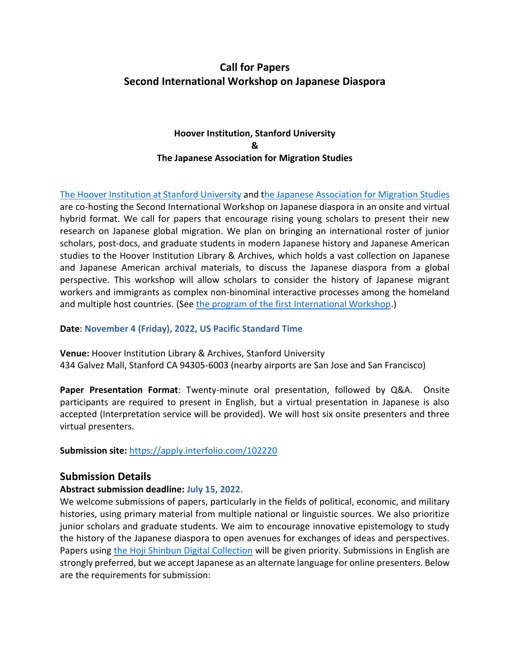# **Call for Papers Second International Workshop on Japanese Diaspora**

## **Hoover Institution, Stanford University & The Japanese Association for Migration Studies**

[The Hoover Institution at Stanford University](https://www.hoover.org/library-archives/collections/japan) and [the Japanese Association for Migration Studies](https://imingakkai.jp/) are co-hosting the Second International Workshop on Japanese diaspora in an onsite and virtual hybrid format. We call for papers that encourage rising young scholars to present their new research on Japanese global migration. We plan on bringing an international roster of junior scholars, post-docs, and graduate students in modern Japanese history and Japanese American studies to the Hoover Institution Library & Archives, which holds a vast collection on Japanese and Japanese American archival materials, to discuss the Japanese diaspora from a global perspective. This workshop will allow scholars to consider the history of Japanese migrant workers and immigrants as complex non-binominal interactive processes among the homeland and multiple host countries. (See [the program of the first International Workshop.](https://imingakkai.jp/.assets/2020jams_ws_poster.pdf))

#### **Date**: **November 4 (Friday), 2022, US Pacific Standard Time**

**Venue:** Hoover Institution Library & Archives, Stanford University 434 Galvez Mall, Stanford CA 94305-6003 (nearby airports are San Jose and San Francisco)

**Paper Presentation Format**: Twenty-minute oral presentation, followed by Q&A. Onsite participants are required to present in English, but a virtual presentation in Japanese is also accepted (Interpretation service will be provided). We will host six onsite presenters and three virtual presenters.

**Submission site:** <https://apply.interfolio.com/102220>

## **Submission Details**

## **Abstract submission deadline: July 15, 2022.**

We welcome submissions of papers, particularly in the fields of political, economic, and military histories, using primary material from multiple national or linguistic sources. We also prioritize junior scholars and graduate students. We aim to encourage innovative epistemology to study the history of the Japanese diaspora to open avenues for exchanges of ideas and perspectives. Papers using [the Hoji Shinbun Digital Collection](https://hojishinbun.hoover.org/) will be given priority. Submissions in English are strongly preferred, but we accept Japanese as an alternate language for online presenters. Below are the requirements for submission: